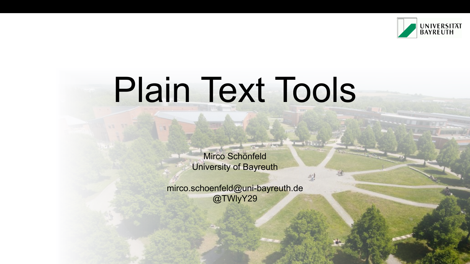

# Plain Text Tools

Mirco Schönfeld University of Bayreuth

direct

型

mirco.schoenfeld@uni-bayreuth.de @TWlyY29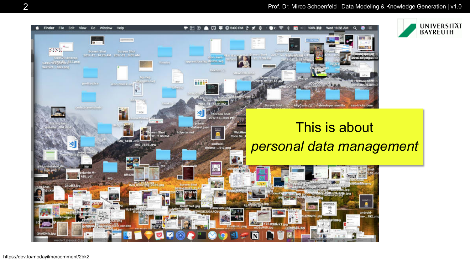#### 2 Prof. Dr. Mirco Schoenfeld | Data Modeling & Knowledge Generation | v1.0

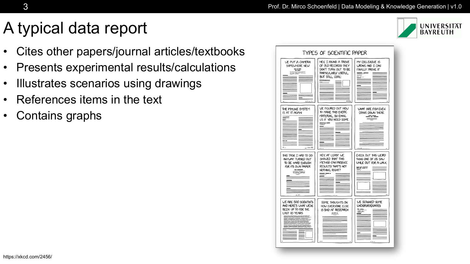## A typical data report

- Cites other papers/journal articles/textbooks
- Presents experimental results/calculations
- Illustrates scenarios using drawings
- References items in the text
- Contains graphs

| TYPES OF SCIENTIFIC PAPER                                                                      |                                                                                                                                              |                                                                                              |
|------------------------------------------------------------------------------------------------|----------------------------------------------------------------------------------------------------------------------------------------------|----------------------------------------------------------------------------------------------|
| <b>VE PUT A CAMERA</b><br>SOMEWHERE NEW<br>==<br>wa ne miy                                     | HEY, I FOUND A TROVE<br>OF OLD RECORDS! THEY<br>DON'T TURN OUT TO BE<br>PARTICULARLY USEFUL,<br>BUT STILL, COOL!<br>$\overline{\phantom{a}}$ | MY COLLEAGUE IS<br>WRONG AND I CAN<br><b>FINALLY PROVE IT</b>                                |
| THE IMMUNE SYSTEM<br>IS AT IT AGAIN<br>≡<br>$\mathcal{L}_{\text{max}}$<br>~~~~                 | WE FIGURED OUT HOW<br>TO MAKE THIS EXOTIC<br>MATERIAL, SO EMAIL<br>US IF YOU NEED SOME<br>$\equiv$                                           | WHAT ARE FISH EVEN<br>DOING DOWN THERE<br>---<br>$=$                                         |
| THIS TASK I HAD TO DO<br>ANYWAY TURNED OUT<br>TO BE HARD ENOUGH<br>FOR ITS OWN PAPER<br>$= -1$ | HEY, AT LEAST WE<br>SHOWED THAT THIS<br>METHOD CAN PRODUCE<br>RESULTS! THAT'S NOT<br>NOTHING, RIGHT?                                         | CHECK OUT THIS WEIRD<br>THING ONE OF US SAW<br>WHILE OUT FOR A WALK<br>====<br>$\sim$ $\sim$ |
| <b>WE ARE 500 SCIENTISTS</b><br>AND HERE'S WHAT WE'VE<br>BEEN UP TO FOR THE<br>LAST IO YEARS   | SOME THOUGHTS ON<br>HOW EVERYONE ELSE<br><b>IS BAD AT RESEARCH</b>                                                                           | <b>WE SCANNED SOME</b><br><b>UNDERGRADUATES</b>                                              |
|                                                                                                |                                                                                                                                              |                                                                                              |

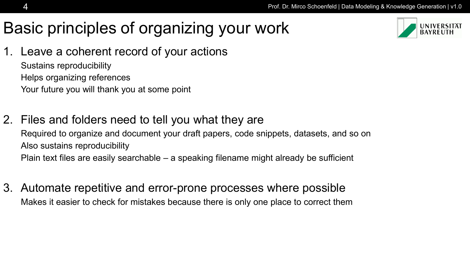# Basic principles of organizing your work



1. Leave a coherent record of your actions

Sustains reproducibility Helps organizing references Your future you will thank you at some point

- 2. Files and folders need to tell you what they are Required to organize and document your draft papers, code snippets, datasets, and so on Also sustains reproducibility Plain text files are easily searchable – a speaking filename might already be sufficient
- 3. Automate repetitive and error-prone processes where possible Makes it easier to check for mistakes because there is only one place to correct them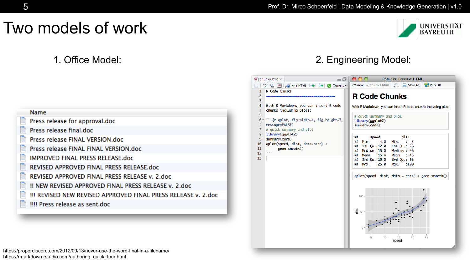$\neg \Box$ 

 $000$ 

### Two models of work



**RStudio: Preview HTML** 

**UNIVERSITÄT BAYREUTH** 

|         | <b>Preview:</b> ~/chunks.html $\Box$ $\Box$ <b>Save As</b> $\Box$ <b>Publish</b><br>$\frac{ABC}{A}$<br>Q MD SKnit HTML + 5+ G Chunks                                                                                                                                                                                                                                                                                                                                                                                                                                                                                                                                                                                                                       |
|---------|------------------------------------------------------------------------------------------------------------------------------------------------------------------------------------------------------------------------------------------------------------------------------------------------------------------------------------------------------------------------------------------------------------------------------------------------------------------------------------------------------------------------------------------------------------------------------------------------------------------------------------------------------------------------------------------------------------------------------------------------------------|
|         | R Code Chunks<br>1<br><b>R Code Chunks</b><br>2                                                                                                                                                                                                                                                                                                                                                                                                                                                                                                                                                                                                                                                                                                            |
|         | 3<br>With R Markdown, you can insert R code<br>4<br>With R Markdown, you can insert R code chunks including plots:<br>chunks including plots:<br>5<br># quick summary and plot<br>""{r qplot, fig.width=4, fig.height=3,<br>6 -<br>library(ggplot2)<br>message=FALSE}<br>summary(cars)<br># quick summary and plot<br>7<br>library(ggplot2)<br>8<br>dist<br>##<br>speed<br>summary(cars)<br>9<br>Min. : 2<br>Min. : 4.0<br>##<br>$qplot(speed, dist, data=cars) +$<br>10<br>1st Qu.:12.0<br>1st Qu.: 26<br>##<br>11<br>geom_smooth()<br>Median :15.0<br>Median: 36<br>##<br>12<br>Mean : 15.4<br>Mean : $43$<br>##<br>13<br>3rd Qu.:19.0<br>3rd Qu.: 56<br>##<br>: 25.0<br>Max.<br>:120<br>##<br>Max.<br>$qplot(speed, dist, data = cars) + geom_smooth()$ |
| . 2.doc | $100 -$<br>품 50-<br>15<br>20<br>25<br>10<br>speed                                                                                                                                                                                                                                                                                                                                                                                                                                                                                                                                                                                                                                                                                                          |

 $\bullet$  chunks.Rmd  $\times$ 

#### **Name**

Press release for approval.doc

Press release final.doc

Press release FINAL VERSION.doc

Press release FINAL FINAL VERSION.doc

**IMPROVED FINAL PRESS RELEASE.doc** 

REVISED APPROVED FINAL PRESS RELEASE.doc

REVISED APPROVED FINAL PRESS RELEASE v. 2.doc

!! NEW REVISED APPROVED FINAL PRESS RELEASE v. 2.doc

!!! REVISED NEW REVISED APPROVED FINAL PRESS RELEASE v.

!!!! Press release as sent.doc

https://properdiscord.com/2012/09/13/never-use-the-word-final-in-a-filename/ https://rmarkdown.rstudio.com/authoring\_quick\_tour.html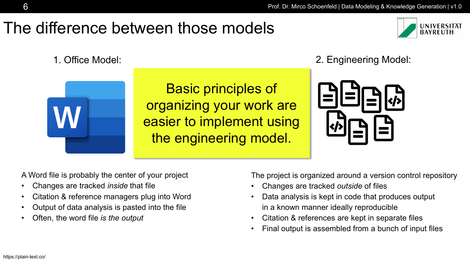### The difference between those models





Basic principles of organizing your work are easier to implement using the engineering model.

1. Office Model: 2. Engineering Model:



A Word file is probably the center of your project

- Changes are tracked *inside* that file
- Citation & reference managers plug into Word
- Output of data analysis is pasted into the file
- Often, the word file *is the output*

The project is organized around a version control repository

- Changes are tracked *outside* of files
- Data analysis is kept in code that produces output in a known manner ideally reproducible
- Citation & references are kept in separate files
- Final output is assembled from a bunch of input files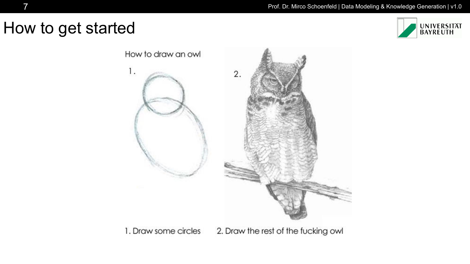### How to get started





1. Draw some circles 2. Draw the rest of the fucking owl